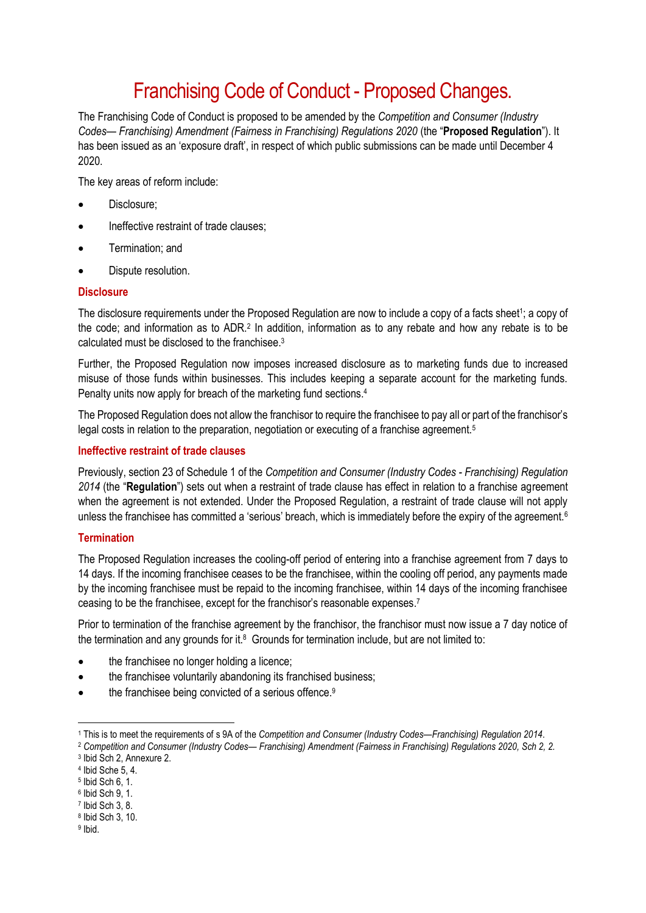# Franchising Code of Conduct - Proposed Changes.

The Franchising Code of Conduct is proposed to be amended by the *Competition and Consumer (Industry Codes— Franchising) Amendment (Fairness in Franchising) Regulations 2020* (the "**Proposed Regulation**"). It has been issued as an 'exposure draft', in respect of which public submissions can be made until December 4 2020.

The key areas of reform include:

- Disclosure;
- Ineffective restraint of trade clauses;
- Termination; and
- Dispute resolution.

### **Disclosure**

The disclosure requirements under the Proposed Regulation are now to include a copy of a facts sheet<sup>1</sup>; a copy of the code; and information as to ADR.<sup>2</sup> In addition, information as to any rebate and how any rebate is to be calculated must be disclosed to the franchisee  $3$ 

Further, the Proposed Regulation now imposes increased disclosure as to marketing funds due to increased misuse of those funds within businesses. This includes keeping a separate account for the marketing funds. Penalty units now apply for breach of the marketing fund sections.<sup>4</sup>

The Proposed Regulation does not allow the franchisor to require the franchisee to pay all or part of the franchisor's legal costs in relation to the preparation, negotiation or executing of a franchise agreement.<sup>5</sup>

### **Ineffective restraint of trade clauses**

Previously, section 23 of Schedule 1 of the *Competition and Consumer (Industry Codes - Franchising) Regulation 2014* (the "**Regulation**") sets out when a restraint of trade clause has effect in relation to a franchise agreement when the agreement is not extended. Under the Proposed Regulation, a restraint of trade clause will not apply unless the franchisee has committed a 'serious' breach, which is immediately before the expiry of the agreement.<sup>6</sup>

## **Termination**

The Proposed Regulation increases the cooling-off period of entering into a franchise agreement from 7 days to 14 days. If the incoming franchisee ceases to be the franchisee, within the cooling off period, any payments made by the incoming franchisee must be repaid to the incoming franchisee, within 14 days of the incoming franchisee ceasing to be the franchisee, except for the franchisor's reasonable expenses. 7

Prior to termination of the franchise agreement by the franchisor, the franchisor must now issue a 7 day notice of the termination and any grounds for it. $8$  Grounds for termination include, but are not limited to:

- the franchisee no longer holding a licence;
- the franchisee voluntarily abandoning its franchised business;
- the franchisee being convicted of a serious offence.<sup>9</sup>

**.** 

<sup>1</sup> This is to meet the requirements of s 9A of the *Competition and Consumer (Industry Codes—Franchising) Regulation 2014*.

<sup>2</sup> *Competition and Consumer (Industry Codes— Franchising) Amendment (Fairness in Franchising) Regulations 2020, Sch 2, 2.* 3 Ibid Sch 2, Annexure 2.

<sup>4</sup> Ibid Sche 5, 4.

<sup>5</sup> Ibid Sch 6, 1.

<sup>6</sup> Ibid Sch 9, 1.

<sup>7</sup> Ibid Sch 3, 8.

<sup>8</sup> Ibid Sch 3, 10.

<sup>&</sup>lt;sup>9</sup> Ibid.